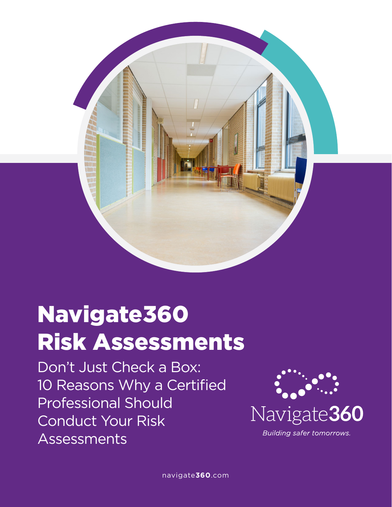

# Navigate360 Risk Assessments

Don't Just Check a Box: 10 Reasons Why a Certified Professional Should Conduct Your Risk Assessments



**Building safer tomorrows.**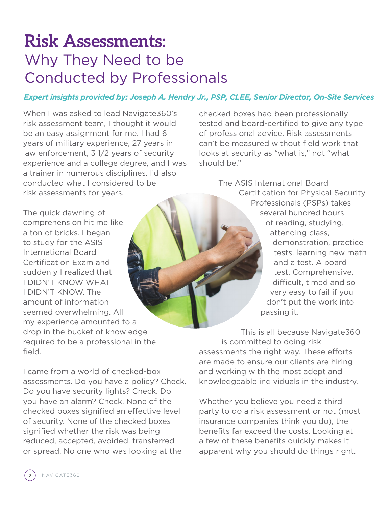# **Risk Assessments:** Why They Need to be Conducted by Professionals

#### *Expert insights provided by: Joseph A. Hendry Jr., PSP, CLEE, Senior Director, On-Site Services*

When I was asked to lead Navigate360's risk assessment team, I thought it would be an easy assignment for me. I had 6 years of military experience, 27 years in law enforcement, 3 1/2 years of security experience and a college degree, and I was a trainer in numerous disciplines. I'd also conducted what I considered to be risk assessments for years.

The quick dawning of comprehension hit me like a ton of bricks. I began to study for the ASIS International Board Certification Exam and suddenly I realized that I DIDN'T KNOW WHAT I DIDN'T KNOW. The amount of information seemed overwhelming. All my experience amounted to a drop in the bucket of knowledge required to be a professional in the field.

I came from a world of checked-box assessments. Do you have a policy? Check. Do you have security lights? Check. Do you have an alarm? Check. None of the checked boxes signified an effective level of security. None of the checked boxes signified whether the risk was being reduced, accepted, avoided, transferred or spread. No one who was looking at the

checked boxes had been professionally tested and board-certified to give any type of professional advice. Risk assessments can't be measured without field work that looks at security as "what is," not "what should be."

> The ASIS International Board Certification for Physical Security Professionals (PSPs) takes several hundred hours of reading, studying, attending class, demonstration, practice tests, learning new math and a test. A board test. Comprehensive, difficult, timed and so very easy to fail if you don't put the work into passing it.

This is all because Navigate360 is committed to doing risk assessments the right way. These efforts are made to ensure our clients are hiring and working with the most adept and knowledgeable individuals in the industry.

Whether you believe you need a third party to do a risk assessment or not (most insurance companies think you do), the benefits far exceed the costs. Looking at a few of these benefits quickly makes it apparent why you should do things right.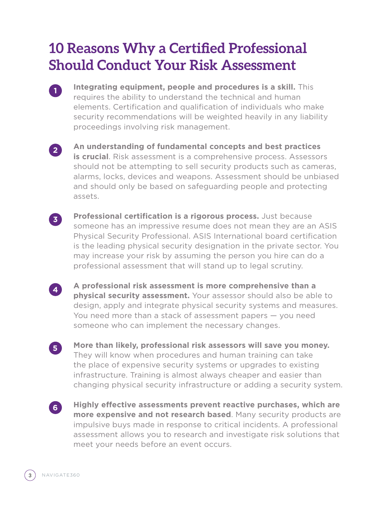### **10 Reasons Why a Certified Professional Should Conduct Your Risk Assessment**

- **Integrating equipment, people and procedures is a skill.** This requires the ability to understand the technical and human elements. Certification and qualification of individuals who make security recommendations will be weighted heavily in any liability proceedings involving risk management.
- **2**

**1**

**An understanding of fundamental concepts and best practices is crucial**. Risk assessment is a comprehensive process. Assessors should not be attempting to sell security products such as cameras, alarms, locks, devices and weapons. Assessment should be unbiased and should only be based on safeguarding people and protecting assets.



**Professional certification is a rigorous process.** Just because someone has an impressive resume does not mean they are an ASIS Physical Security Professional. ASIS International board certification is the leading physical security designation in the private sector. You may increase your risk by assuming the person you hire can do a professional assessment that will stand up to legal scrutiny.



**5**

**6**

**A professional risk assessment is more comprehensive than a physical security assessment.** Your assessor should also be able to design, apply and integrate physical security systems and measures. You need more than a stack of assessment papers — you need someone who can implement the necessary changes.

**More than likely, professional risk assessors will save you money.** They will know when procedures and human training can take the place of expensive security systems or upgrades to existing infrastructure. Training is almost always cheaper and easier than changing physical security infrastructure or adding a security system.

**Highly effective assessments prevent reactive purchases, which are more expensive and not research based**. Many security products are impulsive buys made in response to critical incidents. A professional assessment allows you to research and investigate risk solutions that meet your needs before an event occurs.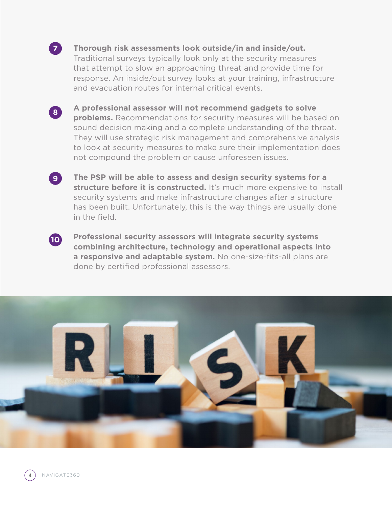

#### **Thorough risk assessments look outside/in and inside/out.**

Traditional surveys typically look only at the security measures that attempt to slow an approaching threat and provide time for response. An inside/out survey looks at your training, infrastructure and evacuation routes for internal critical events.



**A professional assessor will not recommend gadgets to solve problems.** Recommendations for security measures will be based on sound decision making and a complete understanding of the threat. They will use strategic risk management and comprehensive analysis to look at security measures to make sure their implementation does not compound the problem or cause unforeseen issues.

**The PSP will be able to assess and design security systems for a structure before it is constructed.** It's much more expensive to install security systems and make infrastructure changes after a structure has been built. Unfortunately, this is the way things are usually done in the field.



**9**

**Professional security assessors will integrate security systems combining architecture, technology and operational aspects into a responsive and adaptable system.** No one-size-fits-all plans are done by certified professional assessors.



**4** NAVIGATE360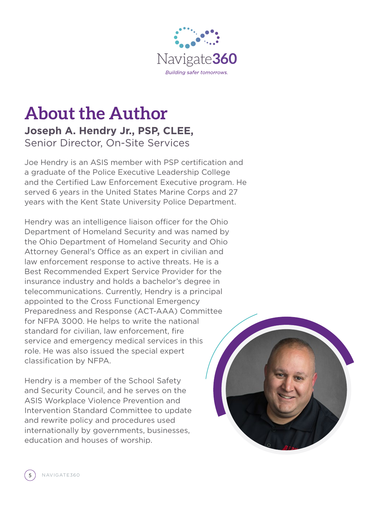

### **About the Author Joseph A. Hendry Jr., PSP, CLEE,** Senior Director, On-Site Services

Joe Hendry is an ASIS member with PSP certification and a graduate of the Police Executive Leadership College and the Certified Law Enforcement Executive program. He served 6 years in the United States Marine Corps and 27 years with the Kent State University Police Department.

Hendry was an intelligence liaison officer for the Ohio Department of Homeland Security and was named by the Ohio Department of Homeland Security and Ohio Attorney General's Office as an expert in civilian and law enforcement response to active threats. He is a Best Recommended Expert Service Provider for the insurance industry and holds a bachelor's degree in telecommunications. Currently, Hendry is a principal appointed to the Cross Functional Emergency Preparedness and Response (ACT-AAA) Committee for NFPA 3000. He helps to write the national standard for civilian, law enforcement, fire service and emergency medical services in this role. He was also issued the special expert classification by NFPA.

Hendry is a member of the School Safety and Security Council, and he serves on the ASIS Workplace Violence Prevention and Intervention Standard Committee to update and rewrite policy and procedures used internationally by governments, businesses, education and houses of worship.